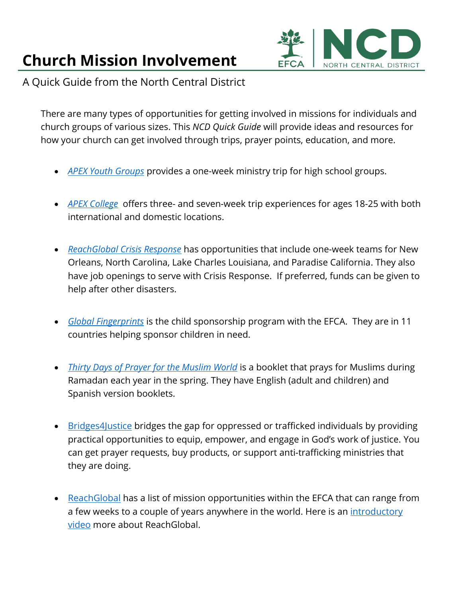## **Church Mission Involvement**



A Quick Guide from the North Central District

There are many types of opportunities for getting involved in missions for individuals and church groups of various sizes. This *NCD Quick Guide* will provide ideas and resources for how your church can get involved through trips, prayer points, education, and more.

- *[APEX Youth Groups](https://www.apexmissions.org/opportunities/groups)* provides a one-week ministry trip for high school groups.
- *[APEX College](https://www.apexmissions.org/opportunities/individuals)* offers three- and seven-week trip experiences for ages 18-25 with both international and domestic locations.
- *[ReachGlobal Crisis Response](https://crisis-response.ministries.efca.org/)* has opportunities that include one-week teams for New Orleans, North Carolina, Lake Charles Louisiana, and Paradise California. They also have job openings to serve with Crisis Response. If preferred, funds can be given to help after other disasters.
- *[Global Fingerprints](https://sponsorship.globalfingerprints.org/)* is the child sponsorship program with the EFCA. They are in 11 countries helping sponsor children in need.
- *[Thirty Days of Prayer for the Muslim World](https://worldchristian.com/product/mwpg-2022-pdf)* is a booklet that prays for Muslims during Ramadan each year in the spring. They have English (adult and children) and Spanish version booklets.
- [Bridges4Justice](https://www.bridges4justice.org/pages/about) bridges the gap for oppressed or trafficked individuals by providing practical opportunities to equip, empower, and engage in God's work of justice. You can get prayer requests, buy products, or support anti-trafficking ministries that they are doing.
- [ReachGlobal](https://serves.efca.org/) has a list of mission opportunities within the EFCA that can range from a few weeks to a couple of years anywhere in the world. Here is an [introductory](https://reachglobal.ministries.efca.org/)  [video](https://reachglobal.ministries.efca.org/) more about ReachGlobal.